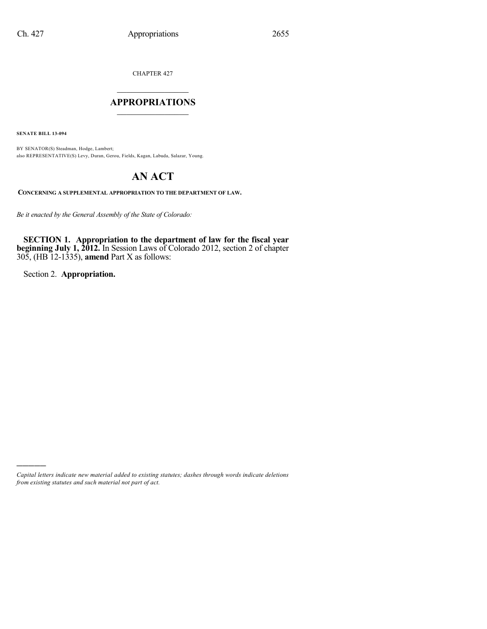CHAPTER 427

# $\mathcal{L}_\text{max}$  . The set of the set of the set of the set of the set of the set of the set of the set of the set of the set of the set of the set of the set of the set of the set of the set of the set of the set of the set **APPROPRIATIONS**  $\_$   $\_$   $\_$   $\_$   $\_$   $\_$   $\_$   $\_$

**SENATE BILL 13-094**

BY SENATOR(S) Steadman, Hodge, Lambert; also REPRESENTATIVE(S) Levy, Duran, Gerou, Fields, Kagan, Labuda, Salazar, Young.

# **AN ACT**

**CONCERNING A SUPPLEMENTAL APPROPRIATION TO THE DEPARTMENT OF LAW.**

*Be it enacted by the General Assembly of the State of Colorado:*

**SECTION 1. Appropriation to the department of law for the fiscal year beginning July 1, 2012.** In Session Laws of Colorado 2012, section 2 of chapter 305, (HB 12-1335), **amend** Part X as follows:

Section 2. **Appropriation.**

)))))

*Capital letters indicate new material added to existing statutes; dashes through words indicate deletions from existing statutes and such material not part of act.*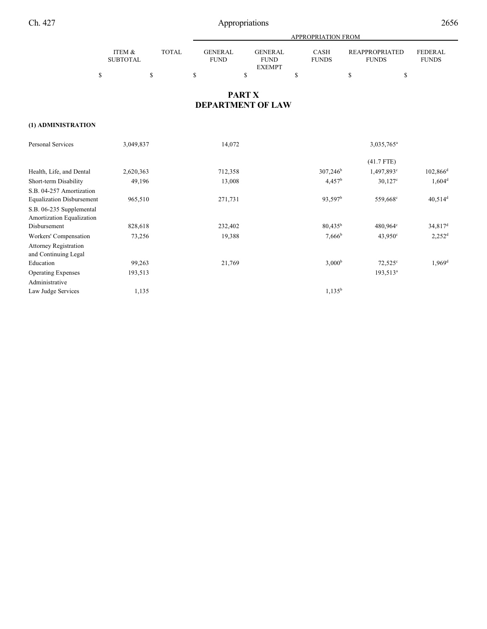|                   |       | APPROPRIATION FROM |               |              |                       |                |  |  |  |
|-------------------|-------|--------------------|---------------|--------------|-----------------------|----------------|--|--|--|
|                   |       |                    |               |              |                       |                |  |  |  |
| <b>ITEM &amp;</b> | TOTAL | <b>GENER AL</b>    | GENERAL       | CASH         | <b>REAPPROPRIATED</b> | <b>FEDERAL</b> |  |  |  |
| <b>SUBTOTAL</b>   |       | <b>FUND</b>        | <b>FUND</b>   | <b>FUNDS</b> | <b>FUNDS</b>          | <b>FUNDS</b>   |  |  |  |
|                   |       |                    | <b>EXEMPT</b> |              |                       |                |  |  |  |
|                   |       |                    |               |              |                       |                |  |  |  |

# **PART X DEPARTMENT OF LAW**

## **(1) ADMINISTRATION**

| <b>Personal Services</b>         | 3,049,837 | 14,072  |                     | 3,035,765 <sup>a</sup> |                       |  |  |
|----------------------------------|-----------|---------|---------------------|------------------------|-----------------------|--|--|
|                                  |           |         |                     | $(41.7$ FTE)           |                       |  |  |
| Health, Life, and Dental         | 2,620,363 | 712,358 | $307,246^{\rm b}$   | 1,497,893 <sup>c</sup> | $102,866^{\rm d}$     |  |  |
| Short-term Disability            | 49,196    | 13,008  | $4,457^b$           | $30,127^{\circ}$       | $1,604^d$             |  |  |
| S.B. 04-257 Amortization         |           |         |                     |                        |                       |  |  |
| <b>Equalization Disbursement</b> | 965,510   | 271,731 | 93,597 <sup>b</sup> | 559,668 <sup>c</sup>   | $40,514$ <sup>d</sup> |  |  |
| S.B. 06-235 Supplemental         |           |         |                     |                        |                       |  |  |
| Amortization Equalization        |           |         |                     |                        |                       |  |  |
| Disbursement                     | 828,618   | 232,402 | $80,435^{\rm b}$    | 480,964°               | $34,817$ <sup>d</sup> |  |  |
| Workers' Compensation            | 73,256    | 19,388  | $7,666^{\rm b}$     | $43,950^{\circ}$       | $2,252^d$             |  |  |
| <b>Attorney Registration</b>     |           |         |                     |                        |                       |  |  |
| and Continuing Legal             |           |         |                     |                        |                       |  |  |
| Education                        | 99,263    | 21,769  | 3,000 <sup>b</sup>  | $72,525^{\circ}$       | $1,969$ <sup>d</sup>  |  |  |
| <b>Operating Expenses</b>        | 193,513   |         |                     | $193,513^a$            |                       |  |  |
| Administrative                   |           |         |                     |                        |                       |  |  |
| Law Judge Services               | 1,135     |         | $1,135^b$           |                        |                       |  |  |
|                                  |           |         |                     |                        |                       |  |  |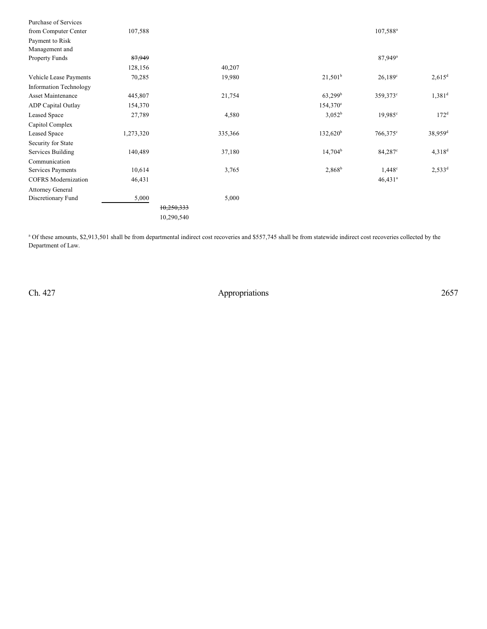|                                               |           | 10,290,540 |                    |                       |                       |
|-----------------------------------------------|-----------|------------|--------------------|-----------------------|-----------------------|
|                                               |           | 10,250,333 |                    |                       |                       |
| <b>Attorney General</b><br>Discretionary Fund | 5,000     | 5,000      |                    |                       |                       |
|                                               |           |            |                    |                       |                       |
| <b>COFRS</b> Modernization                    | 46,431    |            |                    | $46,431$ <sup>a</sup> |                       |
| Communication<br>Services Payments            | 10,614    | 3,765      | $2,868^b$          | $1,448^{\circ}$       | $2,533^d$             |
| Services Building                             | 140,489   | 37,180     | $14,704^b$         | $84,287^{\circ}$      | $4,318^d$             |
| Security for State                            |           |            |                    |                       |                       |
| Capitol Complex<br><b>Leased Space</b>        | 1,273,320 | 335,366    | $132,620^b$        | $766,375^{\circ}$     | $38,959$ <sup>d</sup> |
| Leased Space                                  | 27,789    | 4,580      | 3,052 <sup>b</sup> | $19,985^{\circ}$      | 172 <sup>d</sup>      |
| ADP Capital Outlay                            | 154,370   |            | $154,370^e$        |                       |                       |
| Asset Maintenance                             | 445,807   | 21,754     | $63,299^{\rm b}$   | 359,373°              | $1,381^d$             |
| Information Technology                        |           |            |                    |                       |                       |
| Vehicle Lease Payments                        | 70,285    | 19,980     | $21,501^b$         | $26,189^{\circ}$      | $2,615^d$             |
|                                               | 128,156   | 40,207     |                    |                       |                       |
| <b>Property Funds</b>                         | 87,949    |            |                    | 87,949 <sup>a</sup>   |                       |
| Management and                                |           |            |                    |                       |                       |
| Payment to Risk                               |           |            |                    |                       |                       |
| from Computer Center                          | 107,588   |            |                    | $107,588^{\rm a}$     |                       |
| <b>Purchase of Services</b>                   |           |            |                    |                       |                       |

<sup>a</sup> Of these amounts, \$2,913,501 shall be from departmental indirect cost recoveries and \$557,745 shall be from statewide indirect cost recoveries collected by the Department of Law.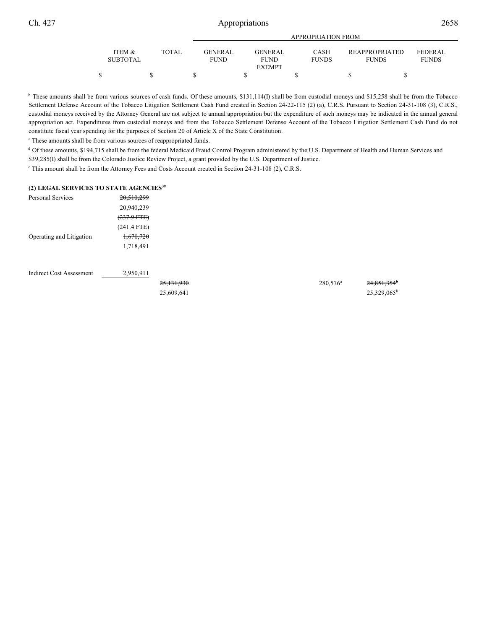|                           |       | APPROPRIATION FROM             |  |                               |  |                             |  |                                |                                |  |
|---------------------------|-------|--------------------------------|--|-------------------------------|--|-----------------------------|--|--------------------------------|--------------------------------|--|
| ITEM &<br><b>SUBTOTAL</b> | TOTAL | <b>GENER AL</b><br><b>FUND</b> |  | <b>GENERAL</b><br><b>FUND</b> |  | <b>CASH</b><br><b>FUNDS</b> |  | REAPPROPRIATED<br><b>FUNDS</b> | <b>FEDERAL</b><br><b>FUNDS</b> |  |
|                           |       |                                |  | <b>EXEMPT</b>                 |  |                             |  |                                |                                |  |

<sup>b</sup> These amounts shall be from various sources of cash funds. Of these amounts, \$131,114(I) shall be from custodial moneys and \$15,258 shall be from the Tobacco Settlement Defense Account of the Tobacco Litigation Settlement Cash Fund created in Section 24-22-115 (2) (a), C.R.S. Pursuant to Section 24-31-108 (3), C.R.S., custodial moneys received by the Attorney General are not subject to annual appropriation but the expenditure of such moneys may be indicated in the annual general appropriation act. Expenditures from custodial moneys and from the Tobacco Settlement Defense Account of the Tobacco Litigation Settlement Cash Fund do not constitute fiscal year spending for the purposes of Section 20 of Article X of the State Constitution.

<sup>c</sup> These amounts shall be from various sources of reappropriated funds.

<sup>d</sup> Of these amounts, \$194,715 shall be from the federal Medicaid Fraud Control Program administered by the U.S. Department of Health and Human Services and \$39,285(I) shall be from the Colorado Justice Review Project, a grant provided by the U.S. Department of Justice.

<sup>e</sup> This amount shall be from the Attorney Fees and Costs Account created in Section 24-31-108 (2), C.R.S.

### **(2) LEGAL SERVICES TO STATE AGENCIES<sup>39</sup>**

| Personal Services        | 20,510,299            |
|--------------------------|-----------------------|
|                          | 20,940,239            |
|                          | $(237.9 \text{ FFE})$ |
|                          | $(241.4$ FTE)         |
| Operating and Litigation | 1,670,720             |
|                          | 1,718,491             |

Indirect Cost Assessment 2,950,911

25,609,641 25,329,065b

 $25,131,930$   $280,576$ <sup>a</sup>  $24,851,354$ <sup>b</sup>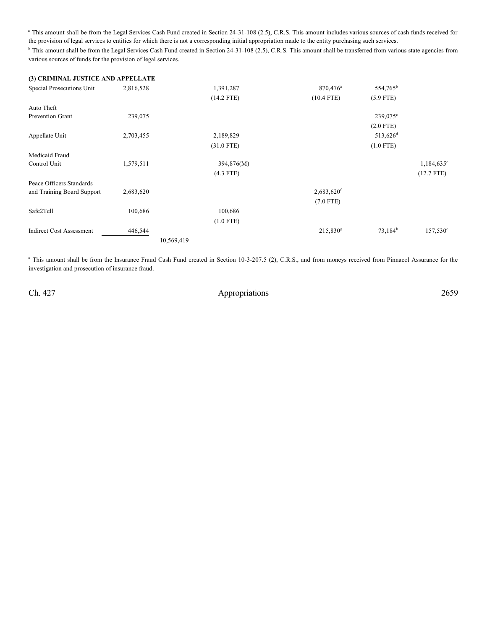<sup>a</sup> This amount shall be from the Legal Services Cash Fund created in Section 24-31-108 (2.5), C.R.S. This amount includes various sources of cash funds received for the provision of legal services to entities for which there is not a corresponding initial appropriation made to the entity purchasing such services. <sup>b</sup> This amount shall be from the Legal Services Cash Fund created in Section 24-31-108 (2.5), C.R.S. This amount shall be transferred from various state agencies from various sources of funds for the provision of legal services.

| (3) CRIMINAL JUSTICE AND APPELLATE |           |              |                          |                      |                   |
|------------------------------------|-----------|--------------|--------------------------|----------------------|-------------------|
| Special Prosecutions Unit          | 2,816,528 | 1,391,287    | 870,476 <sup>a</sup>     | 554,765 <sup>b</sup> |                   |
|                                    |           | $(14.2$ FTE) | $(10.4$ FTE)             | $(5.9$ FTE)          |                   |
| Auto Theft                         |           |              |                          |                      |                   |
| Prevention Grant                   | 239,075   |              |                          | 239,075°             |                   |
|                                    |           |              |                          | $(2.0$ FTE)          |                   |
| Appellate Unit                     | 2,703,455 | 2,189,829    |                          | 513,626 <sup>d</sup> |                   |
|                                    |           | $(31.0$ FTE) |                          | $(1.0$ FTE)          |                   |
| Medicaid Fraud                     |           |              |                          |                      |                   |
| Control Unit                       | 1,579,511 | 394,876(M)   |                          |                      | $1,184,635^e$     |
|                                    |           | $(4.3$ FTE)  |                          |                      | $(12.7$ FTE)      |
| Peace Officers Standards           |           |              |                          |                      |                   |
| and Training Board Support         | 2,683,620 |              | $2,683,620$ <sup>f</sup> |                      |                   |
|                                    |           |              | $(7.0$ FTE)              |                      |                   |
| Safe2Tell                          | 100,686   | 100,686      |                          |                      |                   |
|                                    |           | $(1.0$ FTE)  |                          |                      |                   |
| <b>Indirect Cost Assessment</b>    | 446,544   |              | $215,830^8$              | $73,184^b$           | $157,530^{\circ}$ |
|                                    |           | 10,569,419   |                          |                      |                   |

<sup>a</sup> This amount shall be from the Insurance Fraud Cash Fund created in Section 10-3-207.5 (2), C.R.S., and from moneys received from Pinnacol Assurance for the investigation and prosecution of insurance fraud.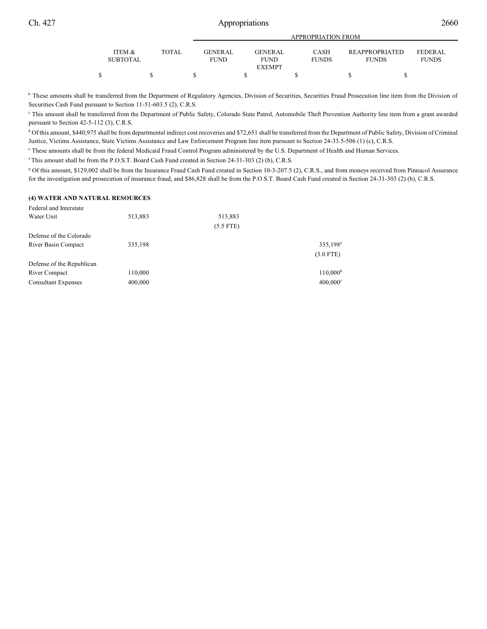|                   |       | APPROPRIATION FROM |  |                |  |              |  |                       |  |                |  |
|-------------------|-------|--------------------|--|----------------|--|--------------|--|-----------------------|--|----------------|--|
| <b>ITEM &amp;</b> | TOTAL | <b>GENER AL</b>    |  | <b>GENERAL</b> |  | <b>CASH</b>  |  | <b>REAPPROPRIATED</b> |  | <b>FEDERAL</b> |  |
| <b>SUBTOTAL</b>   |       | <b>FUND</b>        |  | <b>FUND</b>    |  | <b>FUNDS</b> |  | <b>FUNDS</b>          |  | <b>FUNDS</b>   |  |
|                   |       |                    |  | <b>EXEMPT</b>  |  |              |  |                       |  |                |  |
|                   |       |                    |  |                |  |              |  |                       |  |                |  |

<sup>b</sup> These amounts shall be transferred from the Department of Regulatory Agencies, Division of Securities, Securities Fraud Prosecution line item from the Division of Securities Cash Fund pursuant to Section 11-51-603.5 (2), C.R.S.

<sup>c</sup> This amount shall be transferred from the Department of Public Safety, Colorado State Patrol, Automobile Theft Prevention Authority line item from a grant awarded pursuant to Section 42-5-112 (3), C.R.S.

<sup>d</sup> Of this amount, \$440,975 shall be from departmental indirect cost recoveries and \$72,651 shall be transferred from the Department of Public Safety, Division of Criminal Justice, Victims Assistance, State Victims Assistance and Law Enforcement Program line item pursuant to Section 24-33.5-506 (1) (c), C.R.S.

<sup>e</sup> These amounts shall be from the federal Medicaid Fraud Control Program administered by the U.S. Department of Health and Human Services.

f This amount shall be from the P.O.S.T. Board Cash Fund created in Section 24-31-303 (2) (b), C.R.S.

<sup>g</sup> Of this amount, \$129,002 shall be from the Insurance Fraud Cash Fund created in Section 10-3-207.5 (2), C.R.S., and from moneys received from Pinnacol Assurance for the investigation and prosecution of insurance fraud, and \$86,828 shall be from the P.O.S.T. Board Cash Fund created in Section 24-31-303 (2) (b), C.R.S.

### **(4) WATER AND NATURAL RESOURCES**

| Federal and Interstate     |         |             |                      |
|----------------------------|---------|-------------|----------------------|
| Water Unit                 | 513,883 | 513,883     |                      |
|                            |         | $(5.5$ FTE) |                      |
| Defense of the Colorado    |         |             |                      |
| River Basin Compact        | 335,198 |             | 335,198 <sup>a</sup> |
|                            |         |             | $(3.0$ FTE)          |
| Defense of the Republican  |         |             |                      |
| River Compact              | 110,000 |             | $110,000^{\rm b}$    |
| <b>Consultant Expenses</b> | 400,000 |             | $400,000^{\circ}$    |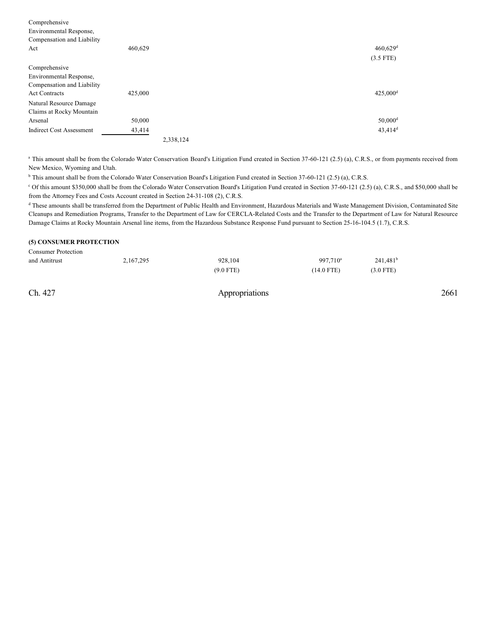| Comprehensive                   |         |           |                        |
|---------------------------------|---------|-----------|------------------------|
| Environmental Response,         |         |           |                        |
| Compensation and Liability      |         |           |                        |
| Act                             | 460,629 |           | $460,629$ <sup>d</sup> |
|                                 |         |           | $(3.5$ FTE)            |
| Comprehensive                   |         |           |                        |
| Environmental Response,         |         |           |                        |
| Compensation and Liability      |         |           |                        |
| <b>Act Contracts</b>            | 425,000 |           | 425,000 <sup>d</sup>   |
| Natural Resource Damage         |         |           |                        |
| Claims at Rocky Mountain        |         |           |                        |
| Arsenal                         | 50,000  |           | $50,000$ <sup>d</sup>  |
| <b>Indirect Cost Assessment</b> | 43,414  |           | $43,414$ <sup>d</sup>  |
|                                 |         | 2,338,124 |                        |

<sup>a</sup> This amount shall be from the Colorado Water Conservation Board's Litigation Fund created in Section 37-60-121 (2.5) (a), C.R.S., or from payments received from New Mexico, Wyoming and Utah.

<sup>b</sup> This amount shall be from the Colorado Water Conservation Board's Litigation Fund created in Section 37-60-121 (2.5) (a), C.R.S.

<sup>c</sup> Of this amount \$350,000 shall be from the Colorado Water Conservation Board's Litigation Fund created in Section 37-60-121 (2.5) (a), C.R.S., and \$50,000 shall be from the Attorney Fees and Costs Account created in Section 24-31-108 (2), C.R.S.

<sup>d</sup> These amounts shall be transferred from the Department of Public Health and Environment, Hazardous Materials and Waste Management Division, Contaminated Site Cleanups and Remediation Programs, Transfer to the Department of Law for CERCLA-Related Costs and the Transfer to the Department of Law for Natural Resource Damage Claims at Rocky Mountain Arsenal line items, from the Hazardous Substance Response Fund pursuant to Section 25-16-104.5 (1.7), C.R.S.

#### **(5) CONSUMER PROTECTION**

| <b>Consumer Protection</b> |           |             |                      |             |
|----------------------------|-----------|-------------|----------------------|-------------|
| and Antitrust              | 2,167,295 | 928.104     | 997.710 <sup>a</sup> | $241,481^b$ |
|                            |           | $(9.0$ FTE) | (14.0 FTE)           | $(3.0$ FTE) |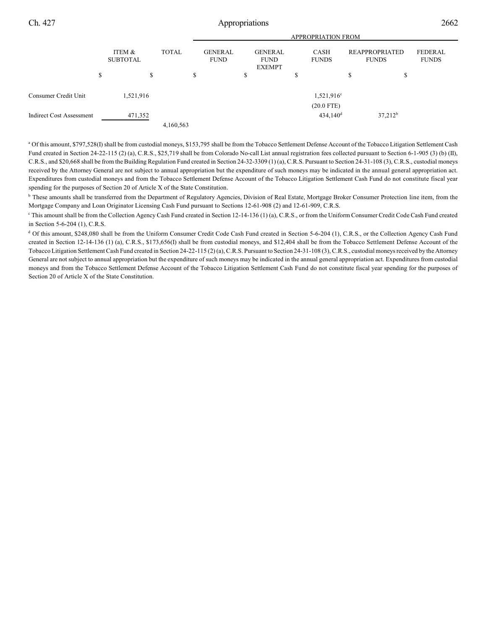|                                 | <b>APPROPRIATION FROM</b> |              |                               |                                                |                                        |                                       |                                |  |
|---------------------------------|---------------------------|--------------|-------------------------------|------------------------------------------------|----------------------------------------|---------------------------------------|--------------------------------|--|
|                                 | ITEM &<br><b>SUBTOTAL</b> | <b>TOTAL</b> | <b>GENERAL</b><br><b>FUND</b> | <b>GENERAL</b><br><b>FUND</b><br><b>EXEMPT</b> | <b>CASH</b><br><b>FUNDS</b>            | <b>REAPPROPRIATED</b><br><b>FUNDS</b> | <b>FEDERAL</b><br><b>FUNDS</b> |  |
|                                 | S                         | \$           | \$                            | \$                                             | S                                      | J.<br>D                               |                                |  |
| Consumer Credit Unit            | 1,521,916                 |              |                               |                                                | 1,521,916 <sup>c</sup>                 |                                       |                                |  |
| <b>Indirect Cost Assessment</b> | 471,352                   |              |                               |                                                | $(20.0$ FTE)<br>$434,140$ <sup>d</sup> | $37,212^b$                            |                                |  |
|                                 |                           | 4,160,563    |                               |                                                |                                        |                                       |                                |  |

a Of this amount, \$797,528(I) shall be from custodial moneys, \$153,795 shall be from the Tobacco Settlement Defense Account of the Tobacco Litigation Settlement Cash Fund created in Section 24-22-115 (2) (a), C.R.S., \$25,719 shall be from Colorado No-call List annual registration fees collected pursuant to Section 6-1-905 (3) (b) (II), C.R.S., and \$20,668 shall be from the Building Regulation Fund created in Section 24-32-3309 (1) (a), C.R.S. Pursuant to Section 24-31-108 (3), C.R.S., custodial moneys received by the Attorney General are not subject to annual appropriation but the expenditure of such moneys may be indicated in the annual general appropriation act. Expenditures from custodial moneys and from the Tobacco Settlement Defense Account of the Tobacco Litigation Settlement Cash Fund do not constitute fiscal year spending for the purposes of Section 20 of Article X of the State Constitution.

<sup>b</sup> These amounts shall be transferred from the Department of Regulatory Agencies, Division of Real Estate, Mortgage Broker Consumer Protection line item, from the Mortgage Company and Loan Originator Licensing Cash Fund pursuant to Sections 12-61-908 (2) and 12-61-909, C.R.S.

<sup>c</sup> This amount shall be from the Collection Agency Cash Fund created in Section 12-14-136 (1) (a), C.R.S., or from the Uniform Consumer Credit Code Cash Fund created in Section 5-6-204 (1), C.R.S.

<sup>d</sup> Of this amount, \$248,080 shall be from the Uniform Consumer Credit Code Cash Fund created in Section 5-6-204 (1), C.R.S., or the Collection Agency Cash Fund created in Section 12-14-136 (1) (a), C.R.S., \$173,656(I) shall be from custodial moneys, and \$12,404 shall be from the Tobacco Settlement Defense Account of the Tobacco Litigation Settlement Cash Fund created in Section 24-22-115 (2) (a), C.R.S. Pursuant to Section 24-31-108 (3), C.R.S., custodial moneys received by the Attorney General are not subject to annual appropriation but the expenditure of such moneys may be indicated in the annual general appropriation act. Expenditures from custodial moneys and from the Tobacco Settlement Defense Account of the Tobacco Litigation Settlement Cash Fund do not constitute fiscal year spending for the purposes of Section 20 of Article X of the State Constitution.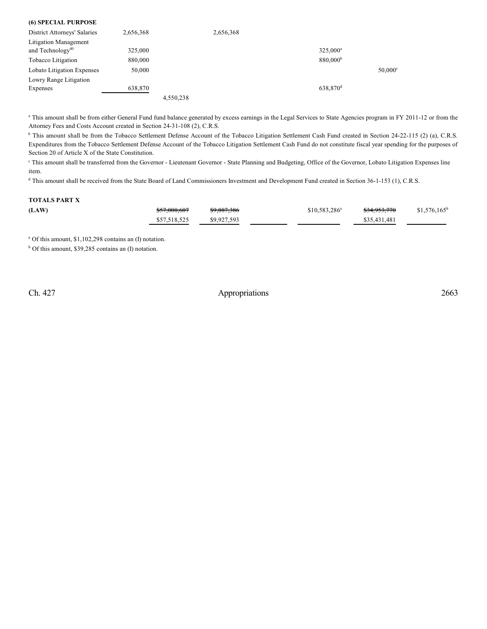| (6) SPECIAL PURPOSE                 |           |           |           |                      |                       |
|-------------------------------------|-----------|-----------|-----------|----------------------|-----------------------|
| <b>District Attorneys' Salaries</b> | 2,656,368 |           | 2,656,368 |                      |                       |
| Litigation Management               |           |           |           |                      |                       |
| and Technology <sup>40</sup>        | 325,000   |           |           | $325,000^a$          |                       |
| Tobacco Litigation                  | 880,000   |           |           | 880,000 <sup>b</sup> |                       |
| Lobato Litigation Expenses          | 50,000    |           |           |                      | $50,000$ <sup>c</sup> |
| Lowry Range Litigation              |           |           |           |                      |                       |
| Expenses                            | 638,870   |           |           | 638,870 <sup>d</sup> |                       |
|                                     |           | 4.550.238 |           |                      |                       |

<sup>a</sup> This amount shall be from either General Fund fund balance generated by excess earnings in the Legal Services to State Agencies program in FY 2011-12 or from the Attorney Fees and Costs Account created in Section 24-31-108 (2), C.R.S.

<sup>b</sup> This amount shall be from the Tobacco Settlement Defense Account of the Tobacco Litigation Settlement Cash Fund created in Section 24-22-115 (2) (a), C.R.S. Expenditures from the Tobacco Settlement Defense Account of the Tobacco Litigation Settlement Cash Fund do not constitute fiscal year spending for the purposes of Section 20 of Article X of the State Constitution.

This amount shall be transferred from the Governor - Lieutenant Governor - State Planning and Budgeting, Office of the Governor, Lobato Litigation Expenses line item.

<sup>d</sup> This amount shall be received from the State Board of Land Commissioners Investment and Development Fund created in Section 36-1-153 (1), C.R.S.

## **TOTALS PART X**

| (LAW) | \$57,000,607 | \$9,887,386 | $$10,583,286^a$ | \$34,953,770 | $$1,576,165^b$ |
|-------|--------------|-------------|-----------------|--------------|----------------|
|       | \$57,518,525 | \$9,927,593 |                 | \$35,431,481 |                |

<sup>a</sup> Of this amount, \$1,102,298 contains an (I) notation.

<sup>b</sup> Of this amount, \$39,285 contains an (I) notation.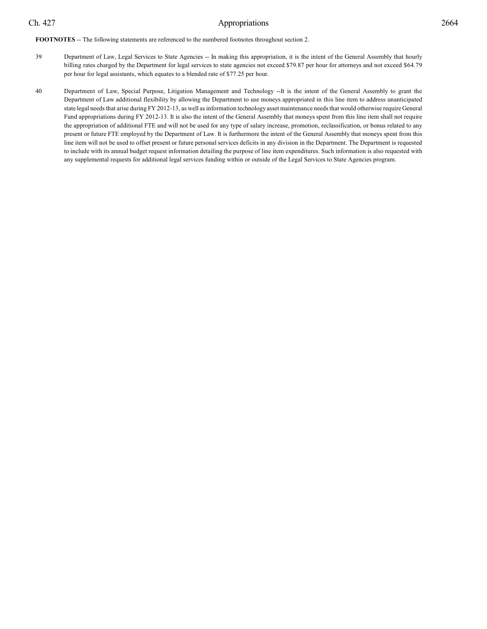**FOOTNOTES** -- The following statements are referenced to the numbered footnotes throughout section 2.

- 39 Department of Law, Legal Services to State Agencies -- In making this appropriation, it is the intent of the General Assembly that hourly billing rates charged by the Department for legal services to state agencies not exceed \$79.87 per hour for attorneys and not exceed \$64.79 per hour for legal assistants, which equates to a blended rate of \$77.25 per hour.
- 40 Department of Law, Special Purpose, Litigation Management and Technology --It is the intent of the General Assembly to grant the Department of Law additional flexibility by allowing the Department to use moneys appropriated in this line item to address unanticipated state legal needs that arise during FY 2012-13, as well as information technology asset maintenance needs that would otherwise require General Fund appropriations during FY 2012-13. It is also the intent of the General Assembly that moneys spent from this line item shall not require the appropriation of additional FTE and will not be used for any type of salary increase, promotion, reclassification, or bonus related to any present or future FTE employed by the Department of Law. It is furthermore the intent of the General Assembly that moneys spent from this line item will not be used to offset present or future personal services deficits in any division in the Department. The Department is requested to include with its annual budget request information detailing the purpose of line item expenditures. Such information is also requested with any supplemental requests for additional legal services funding within or outside of the Legal Services to State Agencies program.